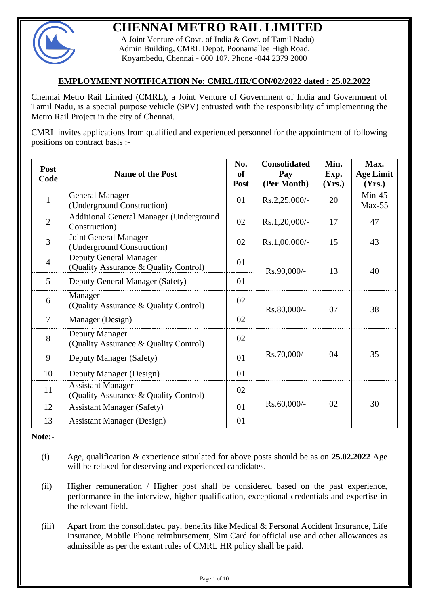

# **CHENNAI METRO RAIL LIMITED**

A Joint Venture of Govt. of India & Govt. of Tamil Nadu) Admin Building, CMRL Depot, Poonamallee High Road, Koyambedu, Chennai - 600 107. Phone -044 2379 2000

# **EMPLOYMENT NOTIFICATION No: CMRL/HR/CON/02/2022 dated : 25.02.2022**

Chennai Metro Rail Limited (CMRL), a Joint Venture of Government of India and Government of Tamil Nadu, is a special purpose vehicle (SPV) entrusted with the responsibility of implementing the Metro Rail Project in the city of Chennai.

CMRL invites applications from qualified and experienced personnel for the appointment of following positions on contract basis :-

| Post<br>Code   | <b>Name of the Post</b>                                           | No.<br>of<br>Post | <b>Consolidated</b><br>Pay<br>(Per Month) | Min.<br>Exp.<br>(Yrs.) | Max.<br><b>Age Limit</b><br>(Yrs.) |  |
|----------------|-------------------------------------------------------------------|-------------------|-------------------------------------------|------------------------|------------------------------------|--|
| $\mathbf{1}$   | <b>General Manager</b><br>(Underground Construction)              | 01                | $Rs.2,25,000/$ -                          | 20                     | $Min-45$<br>$Max-55$               |  |
| $\overline{2}$ | Additional General Manager (Underground<br>Construction)          | 02                | $Rs.1,20,000/$ -                          | 17                     | 47                                 |  |
| $\overline{3}$ | Joint General Manager<br>(Underground Construction)               | 02                | $Rs.1,00,000/$ -                          | 15                     | 43                                 |  |
| $\overline{4}$ | Deputy General Manager<br>(Quality Assurance & Quality Control)   | 01                | Rs.90,000/-                               | 13                     | 40                                 |  |
| 5              | Deputy General Manager (Safety)                                   | 01                |                                           |                        |                                    |  |
| 6              | Manager<br>(Quality Assurance & Quality Control)                  | 02                | Rs.80,000/-                               | 07                     | 38                                 |  |
| $\overline{7}$ | Manager (Design)                                                  | 02                |                                           |                        |                                    |  |
| 8              | Deputy Manager<br>(Quality Assurance & Quality Control)           | 02                |                                           |                        |                                    |  |
| 9              | Deputy Manager (Safety)                                           | 01                | Rs.70,000/-                               | 04                     | 35                                 |  |
| 10             | Deputy Manager (Design)                                           | 01                |                                           |                        |                                    |  |
| 11             | <b>Assistant Manager</b><br>(Quality Assurance & Quality Control) | 02                |                                           |                        |                                    |  |
| 12             | <b>Assistant Manager (Safety)</b>                                 | 01                | Rs.60,000/-                               | 02                     | 30                                 |  |
| 13             | <b>Assistant Manager (Design)</b>                                 | 01                |                                           |                        |                                    |  |

**Note:**-

- (i) Age, qualification & experience stipulated for above posts should be as on **25.02.2022** Age will be relaxed for deserving and experienced candidates.
- (ii) Higher remuneration / Higher post shall be considered based on the past experience, performance in the interview, higher qualification, exceptional credentials and expertise in the relevant field.
- (iii) Apart from the consolidated pay, benefits like Medical & Personal Accident Insurance, Life Insurance, Mobile Phone reimbursement, Sim Card for official use and other allowances as admissible as per the extant rules of CMRL HR policy shall be paid.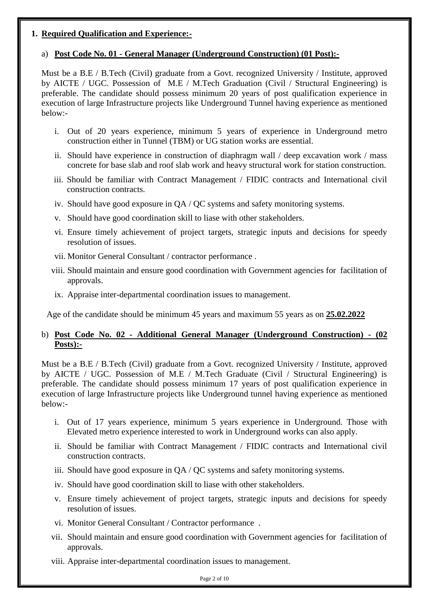# **1. Required Qualification and Experience:-**

# a) **Post Code No. 01 - General Manager (Underground Construction) (01 Post):-**

Must be a B.E / B.Tech (Civil) graduate from a Govt. recognized University / Institute, approved by AICTE / UGC. Possession of M.E / M.Tech Graduation (Civil / Structural Engineering) is preferable. The candidate should possess minimum 20 years of post qualification experience in execution of large Infrastructure projects like Underground Tunnel having experience as mentioned below:-

- i. Out of 20 years experience, minimum 5 years of experience in Underground metro construction either in Tunnel (TBM) or UG station works are essential.
- ii. Should have experience in construction of diaphragm wall / deep excavation work / mass concrete for base slab and roof slab work and heavy structural work for station construction.
- iii. Should be familiar with Contract Management / FIDIC contracts and International civil construction contracts.
- iv. Should have good exposure in QA / QC systems and safety monitoring systems.
- v. Should have good coordination skill to liase with other stakeholders.
- vi. Ensure timely achievement of project targets, strategic inputs and decisions for speedy resolution of issues.
- vii. Monitor General Consultant / contractor performance .
- viii. Should maintain and ensure good coordination with Government agencies for facilitation of approvals.
- ix. Appraise inter-departmental coordination issues to management.

Age of the candidate should be minimum 45 years and maximum 55 years as on **25.02.2022**

# b) **Post Code No. 02 - Additional General Manager (Underground Construction) - (02 Posts):-**

Must be a B.E / B.Tech (Civil) graduate from a Govt. recognized University / Institute, approved by AICTE / UGC. Possession of M.E / M.Tech Graduate (Civil / Structural Engineering) is preferable. The candidate should possess minimum 17 years of post qualification experience in execution of large Infrastructure projects like Underground tunnel having experience as mentioned below:-

- i. Out of 17 years experience, minimum 5 years experience in Underground. Those with Elevated metro experience interested to work in Underground works can also apply.
- ii. Should be familiar with Contract Management / FIDIC contracts and International civil construction contracts.
- iii. Should have good exposure in QA / QC systems and safety monitoring systems.
- iv. Should have good coordination skill to liase with other stakeholders.
- v. Ensure timely achievement of project targets, strategic inputs and decisions for speedy resolution of issues.
- vi. Monitor General Consultant / Contractor performance .
- vii. Should maintain and ensure good coordination with Government agencies for facilitation of approvals.
- viii. Appraise inter-departmental coordination issues to management.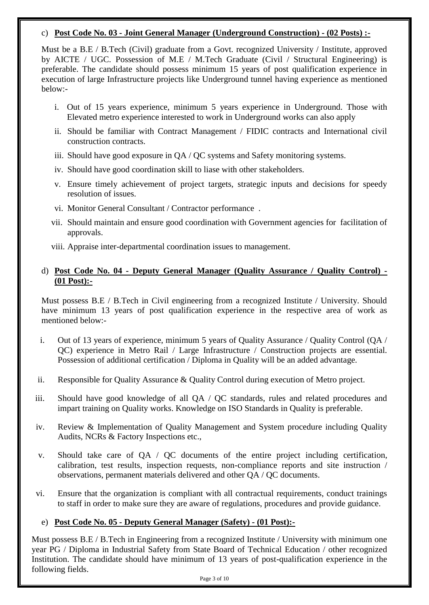## c) **Post Code No. 03 - Joint General Manager (Underground Construction) - (02 Posts) :-**

Must be a B.E / B.Tech (Civil) graduate from a Govt. recognized University / Institute, approved by AICTE / UGC. Possession of M.E / M.Tech Graduate (Civil / Structural Engineering) is preferable. The candidate should possess minimum 15 years of post qualification experience in execution of large Infrastructure projects like Underground tunnel having experience as mentioned below:-

- i. Out of 15 years experience, minimum 5 years experience in Underground. Those with Elevated metro experience interested to work in Underground works can also apply
- ii. Should be familiar with Contract Management / FIDIC contracts and International civil construction contracts.
- iii. Should have good exposure in QA / QC systems and Safety monitoring systems.
- iv. Should have good coordination skill to liase with other stakeholders.
- v. Ensure timely achievement of project targets, strategic inputs and decisions for speedy resolution of issues.
- vi. Monitor General Consultant / Contractor performance .
- vii. Should maintain and ensure good coordination with Government agencies for facilitation of approvals.
- viii. Appraise inter-departmental coordination issues to management.

# d) **Post Code No. 04 - Deputy General Manager (Quality Assurance / Quality Control) - (01 Post):-**

Must possess B.E / B.Tech in Civil engineering from a recognized Institute / University. Should have minimum 13 years of post qualification experience in the respective area of work as mentioned below:-

- i. Out of 13 years of experience, minimum 5 years of Quality Assurance / Quality Control (QA / QC) experience in Metro Rail / Large Infrastructure / Construction projects are essential. Possession of additional certification / Diploma in Quality will be an added advantage.
- ii. Responsible for Quality Assurance & Quality Control during execution of Metro project.
- iii. Should have good knowledge of all QA / QC standards, rules and related procedures and impart training on Quality works. Knowledge on ISO Standards in Quality is preferable.
- iv. Review & Implementation of Quality Management and System procedure including Quality Audits, NCRs & Factory Inspections etc.,
- v. Should take care of QA / QC documents of the entire project including certification, calibration, test results, inspection requests, non-compliance reports and site instruction / observations, permanent materials delivered and other QA / QC documents.
- vi. Ensure that the organization is compliant with all contractual requirements, conduct trainings to staff in order to make sure they are aware of regulations, procedures and provide guidance.

# e) **Post Code No. 05 - Deputy General Manager (Safety) - (01 Post):-**

Must possess B.E / B.Tech in Engineering from a recognized Institute / University with minimum one year PG / Diploma in Industrial Safety from State Board of Technical Education / other recognized Institution. The candidate should have minimum of 13 years of post-qualification experience in the following fields.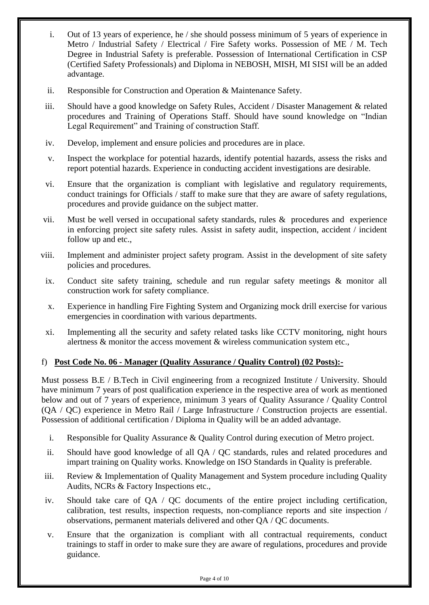- i. Out of 13 years of experience, he / she should possess minimum of 5 years of experience in Metro / Industrial Safety / Electrical / Fire Safety works. Possession of ME / M. Tech Degree in Industrial Safety is preferable. Possession of International Certification in CSP (Certified Safety Professionals) and Diploma in NEBOSH, MISH, MI SISI will be an added advantage.
- ii. Responsible for Construction and Operation & Maintenance Safety.
- iii. Should have a good knowledge on Safety Rules, Accident / Disaster Management & related procedures and Training of Operations Staff. Should have sound knowledge on "Indian Legal Requirement" and Training of construction Staff.
- iv. Develop, implement and ensure policies and procedures are in place.
- v. Inspect the workplace for potential hazards, identify potential hazards, assess the risks and report potential hazards. Experience in conducting accident investigations are desirable.
- vi. Ensure that the organization is compliant with legislative and regulatory requirements, conduct trainings for Officials / staff to make sure that they are aware of safety regulations, procedures and provide guidance on the subject matter.
- vii. Must be well versed in occupational safety standards, rules & procedures and experience in enforcing project site safety rules. Assist in safety audit, inspection, accident / incident follow up and etc.,
- viii. Implement and administer project safety program. Assist in the development of site safety policies and procedures.
	- ix. Conduct site safety training, schedule and run regular safety meetings & monitor all construction work for safety compliance.
	- x. Experience in handling Fire Fighting System and Organizing mock drill exercise for various emergencies in coordination with various departments.
	- xi. Implementing all the security and safety related tasks like CCTV monitoring, night hours alertness & monitor the access movement & wireless communication system etc.,

# f) **Post Code No. 06 - Manager (Quality Assurance / Quality Control) (02 Posts):-**

Must possess B.E / B.Tech in Civil engineering from a recognized Institute / University. Should have minimum 7 years of post qualification experience in the respective area of work as mentioned below and out of 7 years of experience, minimum 3 years of Quality Assurance / Quality Control (QA / QC) experience in Metro Rail / Large Infrastructure / Construction projects are essential. Possession of additional certification / Diploma in Quality will be an added advantage.

- i. Responsible for Quality Assurance & Quality Control during execution of Metro project.
- ii. Should have good knowledge of all QA / QC standards, rules and related procedures and impart training on Quality works. Knowledge on ISO Standards in Quality is preferable.
- iii. Review & Implementation of Quality Management and System procedure including Quality Audits, NCRs & Factory Inspections etc.,
- iv. Should take care of QA / QC documents of the entire project including certification, calibration, test results, inspection requests, non-compliance reports and site inspection / observations, permanent materials delivered and other QA / QC documents.
- v. Ensure that the organization is compliant with all contractual requirements, conduct trainings to staff in order to make sure they are aware of regulations, procedures and provide guidance.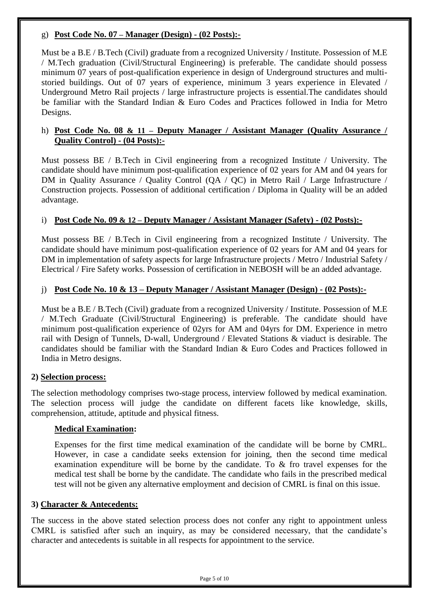# g) **Post Code No. 07 – Manager (Design) - (02 Posts):-**

Must be a B.E / B.Tech (Civil) graduate from a recognized University / Institute. Possession of M.E / M.Tech graduation (Civil/Structural Engineering) is preferable. The candidate should possess minimum 07 years of post-qualification experience in design of Underground structures and multistoried buildings. Out of 07 years of experience, minimum 3 years experience in Elevated / Underground Metro Rail projects / large infrastructure projects is essential.The candidates should be familiar with the Standard Indian & Euro Codes and Practices followed in India for Metro Designs.

## h) **Post Code No. 08 & 11 – Deputy Manager / Assistant Manager (Quality Assurance / Quality Control) - (04 Posts):-**

Must possess BE / B.Tech in Civil engineering from a recognized Institute / University. The candidate should have minimum post-qualification experience of 02 years for AM and 04 years for DM in Quality Assurance / Quality Control (QA / QC) in Metro Rail / Large Infrastructure / Construction projects. Possession of additional certification / Diploma in Quality will be an added advantage.

## i) **Post Code No. 09 & 12 – Deputy Manager / Assistant Manager (Safety) - (02 Posts):-**

Must possess BE / B.Tech in Civil engineering from a recognized Institute / University. The candidate should have minimum post-qualification experience of 02 years for AM and 04 years for DM in implementation of safety aspects for large Infrastructure projects / Metro / Industrial Safety / Electrical / Fire Safety works. Possession of certification in NEBOSH will be an added advantage.

# j) **Post Code No. 10 & 13 – Deputy Manager / Assistant Manager (Design) - (02 Posts):-**

Must be a B.E / B.Tech (Civil) graduate from a recognized University / Institute. Possession of M.E / M.Tech Graduate (Civil/Structural Engineering) is preferable. The candidate should have minimum post-qualification experience of 02yrs for AM and 04yrs for DM. Experience in metro rail with Design of Tunnels, D-wall, Underground / Elevated Stations & viaduct is desirable. The candidates should be familiar with the Standard Indian & Euro Codes and Practices followed in India in Metro designs.

#### **2) Selection process:**

The selection methodology comprises two-stage process, interview followed by medical examination. The selection process will judge the candidate on different facets like knowledge, skills, comprehension, attitude, aptitude and physical fitness.

#### **Medical Examination:**

Expenses for the first time medical examination of the candidate will be borne by CMRL. However, in case a candidate seeks extension for joining, then the second time medical examination expenditure will be borne by the candidate. To & fro travel expenses for the medical test shall be borne by the candidate. The candidate who fails in the prescribed medical test will not be given any alternative employment and decision of CMRL is final on this issue.

#### **3) Character & Antecedents:**

The success in the above stated selection process does not confer any right to appointment unless CMRL is satisfied after such an inquiry, as may be considered necessary, that the candidate's character and antecedents is suitable in all respects for appointment to the service.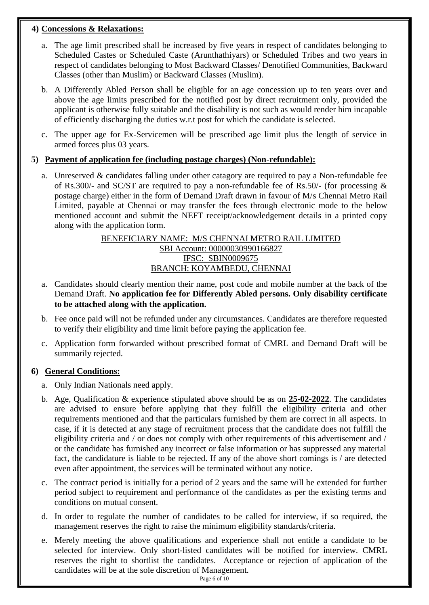# **4) Concessions & Relaxations:**

- a. The age limit prescribed shall be increased by five years in respect of candidates belonging to Scheduled Castes or Scheduled Caste (Arunthathiyars) or Scheduled Tribes and two years in respect of candidates belonging to Most Backward Classes/ Denotified Communities, Backward Classes (other than Muslim) or Backward Classes (Muslim).
- b. A Differently Abled Person shall be eligible for an age concession up to ten years over and above the age limits prescribed for the notified post by direct recruitment only, provided the applicant is otherwise fully suitable and the disability is not such as would render him incapable of efficiently discharging the duties w.r.t post for which the candidate is selected.
- c. The upper age for Ex-Servicemen will be prescribed age limit plus the length of service in armed forces plus 03 years.

# **5) Payment of application fee (including postage charges) (Non-refundable):**

a. Unreserved & candidates falling under other catagory are required to pay a Non-refundable fee of Rs.300/- and SC/ST are required to pay a non-refundable fee of Rs.50/- (for processing & postage charge) either in the form of Demand Draft drawn in favour of M/s Chennai Metro Rail Limited, payable at Chennai or may transfer the fees through electronic mode to the below mentioned account and submit the NEFT receipt/acknowledgement details in a printed copy along with the application form.

# BENEFICIARY NAME: M/S CHENNAI METRO RAIL LIMITED SBI Account: 00000030990166827 IFSC: SBIN0009675 BRANCH: KOYAMBEDU, CHENNAI

- a. Candidates should clearly mention their name, post code and mobile number at the back of the Demand Draft. **No application fee for Differently Abled persons. Only disability certificate to be attached along with the application.**
- b. Fee once paid will not be refunded under any circumstances. Candidates are therefore requested to verify their eligibility and time limit before paying the application fee.
- c. Application form forwarded without prescribed format of CMRL and Demand Draft will be summarily rejected.

# **6) General Conditions:**

- a. Only Indian Nationals need apply.
- b. Age, Qualification & experience stipulated above should be as on **25-02-2022**. The candidates are advised to ensure before applying that they fulfill the eligibility criteria and other requirements mentioned and that the particulars furnished by them are correct in all aspects. In case, if it is detected at any stage of recruitment process that the candidate does not fulfill the eligibility criteria and / or does not comply with other requirements of this advertisement and / or the candidate has furnished any incorrect or false information or has suppressed any material fact, the candidature is liable to be rejected. If any of the above short comings is / are detected even after appointment, the services will be terminated without any notice.
- c. The contract period is initially for a period of 2 years and the same will be extended for further period subject to requirement and performance of the candidates as per the existing terms and conditions on mutual consent.
- d. In order to regulate the number of candidates to be called for interview, if so required, the management reserves the right to raise the minimum eligibility standards/criteria.
- e. Merely meeting the above qualifications and experience shall not entitle a candidate to be selected for interview. Only short-listed candidates will be notified for interview. CMRL reserves the right to shortlist the candidates. Acceptance or rejection of application of the candidates will be at the sole discretion of Management.

Page 6 of 10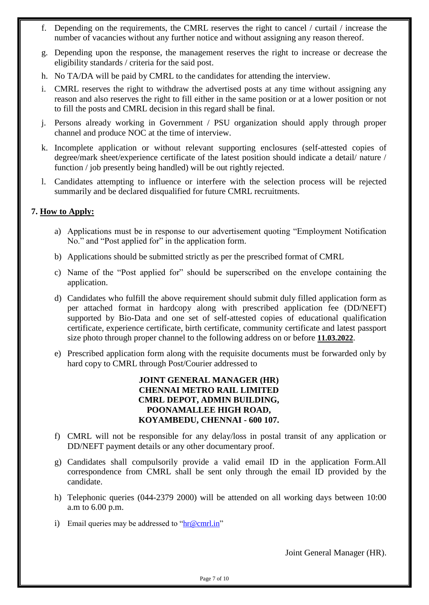- f. Depending on the requirements, the CMRL reserves the right to cancel / curtail / increase the number of vacancies without any further notice and without assigning any reason thereof.
- g. Depending upon the response, the management reserves the right to increase or decrease the eligibility standards / criteria for the said post.
- h. No TA/DA will be paid by CMRL to the candidates for attending the interview.
- i. CMRL reserves the right to withdraw the advertised posts at any time without assigning any reason and also reserves the right to fill either in the same position or at a lower position or not to fill the posts and CMRL decision in this regard shall be final.
- j. Persons already working in Government / PSU organization should apply through proper channel and produce NOC at the time of interview.
- k. Incomplete application or without relevant supporting enclosures (self-attested copies of degree/mark sheet/experience certificate of the latest position should indicate a detail/ nature / function / job presently being handled) will be out rightly rejected.
- l. Candidates attempting to influence or interfere with the selection process will be rejected summarily and be declared disqualified for future CMRL recruitments.

## **7. How to Apply:**

- a) Applications must be in response to our advertisement quoting "Employment Notification No." and "Post applied for" in the application form.
- b) Applications should be submitted strictly as per the prescribed format of CMRL
- c) Name of the "Post applied for" should be superscribed on the envelope containing the application.
- d) Candidates who fulfill the above requirement should submit duly filled application form as per attached format in hardcopy along with prescribed application fee (DD/NEFT) supported by Bio-Data and one set of self-attested copies of educational qualification certificate, experience certificate, birth certificate, community certificate and latest passport size photo through proper channel to the following address on or before **11.03.2022**.
- e) Prescribed application form along with the requisite documents must be forwarded only by hard copy to CMRL through Post/Courier addressed to

# **JOINT GENERAL MANAGER (HR) CHENNAI METRO RAIL LIMITED CMRL DEPOT, ADMIN BUILDING, POONAMALLEE HIGH ROAD, KOYAMBEDU, CHENNAI - 600 107.**

- f) CMRL will not be responsible for any delay/loss in postal transit of any application or DD/NEFT payment details or any other documentary proof.
- g) Candidates shall compulsorily provide a valid email ID in the application Form.All correspondence from CMRL shall be sent only through the email ID provided by the candidate.
- h) Telephonic queries (044-2379 2000) will be attended on all working days between 10:00 a.m to 6.00 p.m.
- i) Email queries may be addressed to " $\ln \omega$  cmrl.in"

Joint General Manager (HR).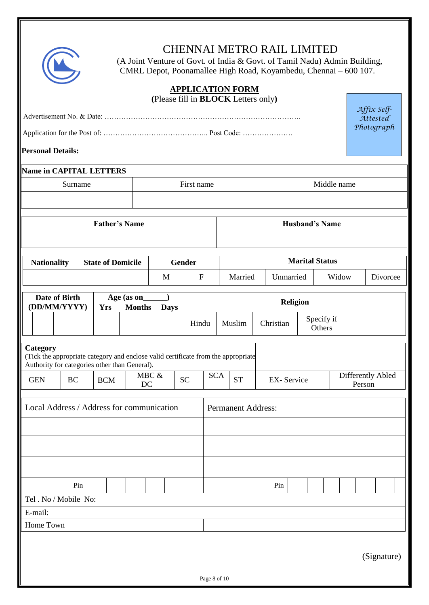

# CHENNAI METRO RAIL LIMITED

 (A Joint Venture of Govt. of India & Govt. of Tamil Nadu) Admin Building, CMRL Depot, Poonamallee High Road, Koyambedu, Chennai – 600 107.

| <b>APPLICATION FORM</b><br>(Please fill in <b>BLOCK</b> Letters only)                                                                          |                         |                           |    |       |                           |                                             |                       |  |                                                  |  |  |  |                         |  |  |
|------------------------------------------------------------------------------------------------------------------------------------------------|-------------------------|---------------------------|----|-------|---------------------------|---------------------------------------------|-----------------------|--|--------------------------------------------------|--|--|--|-------------------------|--|--|
|                                                                                                                                                |                         |                           |    |       |                           |                                             |                       |  |                                                  |  |  |  | Affix Self-<br>Attested |  |  |
|                                                                                                                                                |                         |                           |    |       |                           |                                             |                       |  |                                                  |  |  |  | Photograph              |  |  |
| <b>Personal Details:</b>                                                                                                                       |                         |                           |    |       |                           |                                             |                       |  |                                                  |  |  |  |                         |  |  |
|                                                                                                                                                | Name in CAPITAL LETTERS |                           |    |       |                           |                                             |                       |  |                                                  |  |  |  |                         |  |  |
| Surname                                                                                                                                        | First name              | Middle name               |    |       |                           |                                             |                       |  |                                                  |  |  |  |                         |  |  |
|                                                                                                                                                |                         |                           |    |       |                           |                                             |                       |  |                                                  |  |  |  |                         |  |  |
|                                                                                                                                                |                         | <b>Father's Name</b>      |    |       | <b>Husband's Name</b>     |                                             |                       |  |                                                  |  |  |  |                         |  |  |
|                                                                                                                                                |                         |                           |    |       |                           |                                             |                       |  |                                                  |  |  |  |                         |  |  |
| <b>Nationality</b>                                                                                                                             | <b>Gender</b>           |                           |    |       |                           |                                             | <b>Marital Status</b> |  |                                                  |  |  |  |                         |  |  |
|                                                                                                                                                |                         | <b>State of Domicile</b>  |    | M     | $\boldsymbol{\mathrm{F}}$ |                                             | Married               |  | Unmarried                                        |  |  |  | Widow<br>Divorcee       |  |  |
| Date of Birth                                                                                                                                  |                         |                           |    |       |                           |                                             |                       |  |                                                  |  |  |  |                         |  |  |
| (DD/MM/YYYY)                                                                                                                                   |                         | Religion                  |    |       |                           |                                             |                       |  |                                                  |  |  |  |                         |  |  |
|                                                                                                                                                |                         |                           |    |       | Hindu                     | Specify if<br>Muslim<br>Christian<br>Others |                       |  |                                                  |  |  |  |                         |  |  |
| Category<br>(Tick the appropriate category and enclose valid certificate from the appropriate<br>Authority for categories other than General). |                         |                           |    |       |                           |                                             |                       |  |                                                  |  |  |  |                         |  |  |
| <b>GEN</b><br><b>BC</b>                                                                                                                        |                         | <b>BCM</b>                | DC | MBC & | <b>SC</b>                 | <b>SCA</b>                                  | <b>ST</b>             |  | Differently Abled<br><b>EX-Service</b><br>Person |  |  |  |                         |  |  |
| Ш<br>Local Address / Address for communication                                                                                                 |                         | <b>Permanent Address:</b> |    |       |                           |                                             |                       |  |                                                  |  |  |  |                         |  |  |
|                                                                                                                                                |                         |                           |    |       |                           |                                             |                       |  |                                                  |  |  |  |                         |  |  |
|                                                                                                                                                |                         |                           |    |       |                           |                                             |                       |  |                                                  |  |  |  |                         |  |  |
|                                                                                                                                                |                         |                           |    |       |                           |                                             |                       |  |                                                  |  |  |  |                         |  |  |
| Pin                                                                                                                                            |                         |                           |    |       | Pin                       |                                             |                       |  |                                                  |  |  |  |                         |  |  |
| Tel . No / Mobile No:                                                                                                                          |                         |                           |    |       |                           |                                             |                       |  |                                                  |  |  |  |                         |  |  |
| E-mail:                                                                                                                                        |                         |                           |    |       |                           |                                             |                       |  |                                                  |  |  |  |                         |  |  |
| Home Town                                                                                                                                      |                         |                           |    |       |                           |                                             |                       |  |                                                  |  |  |  |                         |  |  |
| (Signature)<br>Page 8 of 10                                                                                                                    |                         |                           |    |       |                           |                                             |                       |  |                                                  |  |  |  |                         |  |  |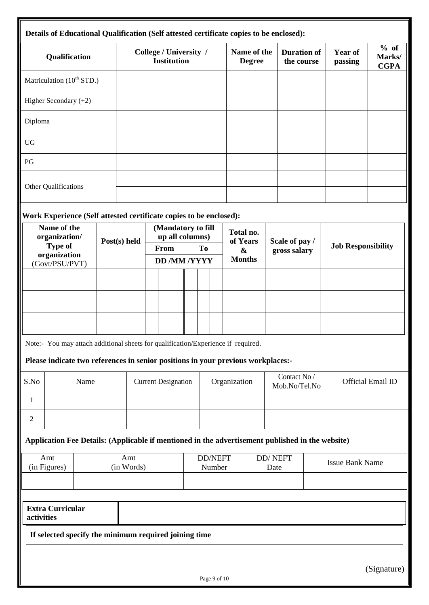|                                       | Details of Educational Qualification (Self attested certificate copies to be enclosed):          |                                              |              |                                       |                           |  |              |                              |  |                                    |                               |                           |                               |                           |             |  |
|---------------------------------------|--------------------------------------------------------------------------------------------------|----------------------------------------------|--------------|---------------------------------------|---------------------------|--|--------------|------------------------------|--|------------------------------------|-------------------------------|---------------------------|-------------------------------|---------------------------|-------------|--|
| Qualification                         |                                                                                                  | College / University /<br><b>Institution</b> |              |                                       |                           |  |              | Name of the<br><b>Degree</b> |  | <b>Duration of</b><br>the course   |                               | <b>Year of</b><br>passing | % of<br>Marks/<br><b>CGPA</b> |                           |             |  |
| Matriculation (10 <sup>th</sup> STD.) |                                                                                                  |                                              |              |                                       |                           |  |              |                              |  |                                    |                               |                           |                               |                           |             |  |
| Higher Secondary (+2)                 |                                                                                                  |                                              |              |                                       |                           |  |              |                              |  |                                    |                               |                           |                               |                           |             |  |
| Diploma                               |                                                                                                  |                                              |              |                                       |                           |  |              |                              |  |                                    |                               |                           |                               |                           |             |  |
| <b>UG</b>                             |                                                                                                  |                                              |              |                                       |                           |  |              |                              |  |                                    |                               |                           |                               |                           |             |  |
| PG                                    |                                                                                                  |                                              |              |                                       |                           |  |              |                              |  |                                    |                               |                           |                               |                           |             |  |
|                                       | Other Qualifications                                                                             |                                              |              |                                       |                           |  |              |                              |  |                                    |                               |                           |                               |                           |             |  |
|                                       | Work Experience (Self attested certificate copies to be enclosed):                               |                                              |              |                                       |                           |  |              |                              |  |                                    |                               |                           |                               |                           |             |  |
|                                       | Name of the<br>organization/                                                                     |                                              | Post(s) held | (Mandatory to fill<br>up all columns) |                           |  |              | Total no.<br>of Years        |  | Scale of pay /                     |                               |                           |                               |                           |             |  |
|                                       | <b>Type of</b><br>organization                                                                   |                                              |              |                                       | From<br><b>DD/MM/YYYY</b> |  | <b>To</b>    |                              |  | $\boldsymbol{\&}$<br><b>Months</b> |                               | gross salary              |                               | <b>Job Responsibility</b> |             |  |
|                                       | (Govt/PSU/PVT)                                                                                   |                                              |              |                                       |                           |  |              |                              |  |                                    |                               |                           |                               |                           |             |  |
|                                       |                                                                                                  |                                              |              |                                       |                           |  |              |                              |  |                                    |                               |                           |                               |                           |             |  |
|                                       |                                                                                                  |                                              |              |                                       |                           |  |              |                              |  |                                    |                               |                           |                               |                           |             |  |
|                                       |                                                                                                  |                                              |              |                                       |                           |  |              |                              |  |                                    |                               |                           |                               |                           |             |  |
|                                       | Note:- You may attach additional sheets for qualification/Experience if required.                |                                              |              |                                       |                           |  |              |                              |  |                                    |                               |                           |                               |                           |             |  |
| S.No                                  | Please indicate two references in senior positions in your previous workplaces:-<br>Name         |                                              |              | <b>Current Designation</b>            |                           |  | Organization |                              |  |                                    | Contact No /<br>Mob.No/Tel.No |                           |                               | Official Email ID         |             |  |
| 1                                     |                                                                                                  |                                              |              |                                       |                           |  |              |                              |  |                                    |                               |                           |                               |                           |             |  |
| $\overline{c}$                        |                                                                                                  |                                              |              |                                       |                           |  |              |                              |  |                                    |                               |                           |                               |                           |             |  |
|                                       | Application Fee Details: (Applicable if mentioned in the advertisement published in the website) |                                              |              |                                       |                           |  |              |                              |  |                                    |                               |                           |                               |                           |             |  |
|                                       | Amt                                                                                              |                                              | Amt          |                                       |                           |  |              | <b>DD/NEFT</b>               |  |                                    |                               | DD/NEFT                   |                               | <b>Issue Bank Name</b>    |             |  |
|                                       | (in Figures)                                                                                     |                                              | (in Words)   |                                       |                           |  |              | Number                       |  |                                    | Date                          |                           |                               |                           |             |  |
|                                       |                                                                                                  |                                              |              |                                       |                           |  |              |                              |  |                                    |                               |                           |                               |                           |             |  |
| activities                            | <b>Extra Curricular</b>                                                                          |                                              |              |                                       |                           |  |              |                              |  |                                    |                               |                           |                               |                           |             |  |
|                                       | If selected specify the minimum required joining time                                            |                                              |              |                                       |                           |  |              |                              |  |                                    |                               |                           |                               |                           |             |  |
|                                       |                                                                                                  |                                              |              |                                       |                           |  |              |                              |  |                                    |                               |                           |                               |                           |             |  |
|                                       |                                                                                                  |                                              |              |                                       |                           |  |              |                              |  |                                    |                               |                           |                               |                           | (Signature) |  |